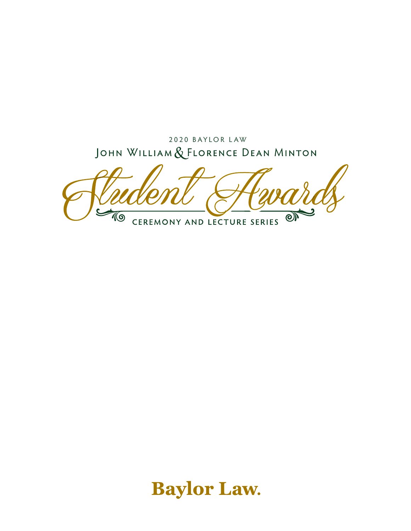2020 BAYLOR L AWJOHN WILLIAM & FLORENCE DEAN MINTON

 $\blacktriangleright$  $\overline{\mathbf{c}}$ To  $\circledcirc$ CEREMONY AND LECTURE SERIES

# **Baylor Law.**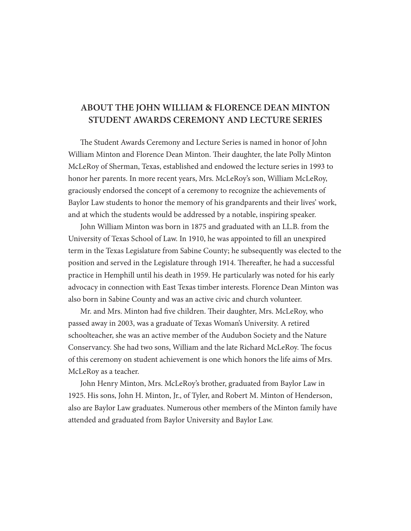# **ABOUT THE JOHN WILLIAM & FLORENCE DEAN MINTON STUDENT AWARDS CEREMONY AND LECTURE SERIES**

The Student Awards Ceremony and Lecture Series is named in honor of John William Minton and Florence Dean Minton. Their daughter, the late Polly Minton McLeRoy of Sherman, Texas, established and endowed the lecture series in 1993 to honor her parents. In more recent years, Mrs. McLeRoy's son, William McLeRoy, graciously endorsed the concept of a ceremony to recognize the achievements of Baylor Law students to honor the memory of his grandparents and their lives' work, and at which the students would be addressed by a notable, inspiring speaker.

John William Minton was born in 1875 and graduated with an LL.B. from the University of Texas School of Law. In 1910, he was appointed to fill an unexpired term in the Texas Legislature from Sabine County; he subsequently was elected to the position and served in the Legislature through 1914. Thereafter, he had a successful practice in Hemphill until his death in 1959. He particularly was noted for his early advocacy in connection with East Texas timber interests. Florence Dean Minton was also born in Sabine County and was an active civic and church volunteer.

Mr. and Mrs. Minton had five children. Their daughter, Mrs. McLeRoy, who passed away in 2003, was a graduate of Texas Woman's University. A retired schoolteacher, she was an active member of the Audubon Society and the Nature Conservancy. She had two sons, William and the late Richard McLeRoy. The focus of this ceremony on student achievement is one which honors the life aims of Mrs. McLeRoy as a teacher.

John Henry Minton, Mrs. McLeRoy's brother, graduated from Baylor Law in 1925. His sons, John H. Minton, Jr., of Tyler, and Robert M. Minton of Henderson, also are Baylor Law graduates. Numerous other members of the Minton family have attended and graduated from Baylor University and Baylor Law.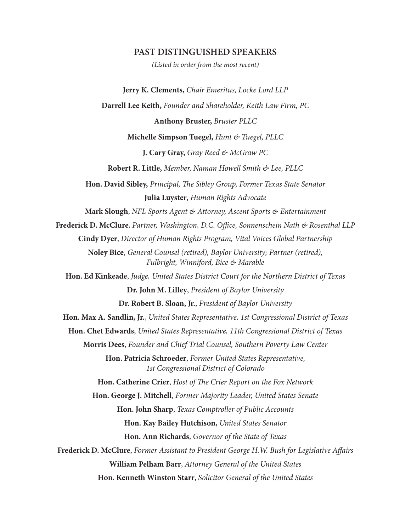#### **PAST DISTINGUISHED SPEAKERS**

*(Listed in order from the most recent)*

**Jerry K. Clements,** *Chair Emeritus, Locke Lord LLP* **Darrell Lee Keith,** *Founder and Shareholder, Keith Law Firm, PC* **Anthony Bruster,** *Bruster PLLC* **Michelle Simpson Tuegel,** *Hunt & Tuegel, PLLC* **J. Cary Gray,** *Gray Reed & McGraw PC* **Robert R. Little,** *Member, Naman Howell Smith & Lee, PLLC* **Hon. David Sibley,** *Principal, The Sibley Group, Former Texas State Senator* **Julia Luyster**, *Human Rights Advocate* **Mark Slough**, *NFL Sports Agent & Attorney, Ascent Sports & Entertainment* **Frederick D. McClure**, *Partner, Washington, D.C. Office, Sonnenschein Nath & Rosenthal LLP* **Cindy Dyer**, *Director of Human Rights Program, Vital Voices Global Partnership* **Noley Bice**, *General Counsel (retired), Baylor University; Partner (retired), Fulbright, Winniford, Bice & Marable* **Hon. Ed Kinkeade**, *Judge, United States District Court for the Northern District of Texas* **Dr. John M. Lilley**, *President of Baylor University* **Dr. Robert B. Sloan, Jr.**, *President of Baylor University* **Hon. Max A. Sandlin, Jr.**, *United States Representative, 1st Congressional District of Texas* **Hon. Chet Edwards**, *United States Representative, 11th Congressional District of Texas* **Morris Dees**, *Founder and Chief Trial Counsel, Southern Poverty Law Center* **Hon. Patricia Schroeder**, *Former United States Representative, 1st Congressional District of Colorado* **Hon. Catherine Crier**, *Host of The Crier Report on the Fox Network* **Hon. George J. Mitchell**, *Former Majority Leader, United States Senate* **Hon. John Sharp**, *Texas Comptroller of Public Accounts* **Hon. Kay Bailey Hutchison,** *United States Senator* **Hon. Ann Richards**, *Governor of the State of Texas* **Frederick D. McClure**, *Former Assistant to President George H.W. Bush for Legislative Affairs* **William Pelham Barr**, *Attorney General of the United States* **Hon. Kenneth Winston Starr**, *Solicitor General of the United States*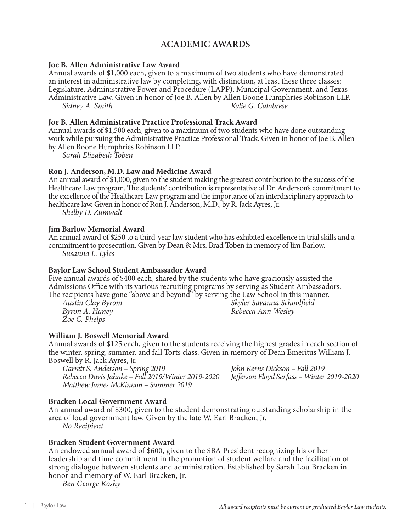# **ACADEMIC AWARDS**

#### **Joe B. Allen Administrative Law Award**

Annual awards of \$1,000 each, given to a maximum of two students who have demonstrated an interest in administrative law by completing, with distinction, at least these three classes: Legislature, Administrative Power and Procedure (LAPP), Municipal Government, and Texas Administrative Law. Given in honor of Joe B. Allen by Allen Boone Humphries Robinson LLP. *Sidney A. Smith Kylie G. Calabrese* 

#### **Joe B. Allen Administrative Practice Professional Track Award**

Annual awards of \$1,500 each, given to a maximum of two students who have done outstanding work while pursuing the Administrative Practice Professional Track. Given in honor of Joe B. Allen by Allen Boone Humphries Robinson LLP.

*Sarah Elizabeth Toben*

#### **Ron J. Anderson, M.D. Law and Medicine Award**

An annual award of \$1,000, given to the student making the greatest contribution to the success of the Healthcare Law program. The students' contribution is representative of Dr. Anderson's commitment to the excellence of the Healthcare Law program and the importance of an interdisciplinary approach to healthcare law. Given in honor of Ron J. Anderson, M.D., by R. Jack Ayres, Jr.

*Shelby D. Zumwalt*

#### **Jim Barlow Memorial Award**

An annual award of \$250 to a third-year law student who has exhibited excellence in trial skills and a commitment to prosecution. Given by Dean & Mrs. Brad Toben in memory of Jim Barlow. *Susanna L. Lyles*

#### **Baylor Law School Student Ambassador Award**

Five annual awards of \$400 each, shared by the students who have graciously assisted the Admissions Office with its various recruiting programs by serving as Student Ambassadors. The recipients have gone "above and beyond" by serving the Law School in this manner.<br>Austin Clay Byrom Skyler Savanna Schoolfield

*Zoe C. Phelps* 

*Austin Clay Byrom Skyler Savanna Schoolfield Byron A. Haney Rebecca Ann Wesley*

#### **William J. Boswell Memorial Award**

Annual awards of \$125 each, given to the students receiving the highest grades in each section of the winter, spring, summer, and fall Torts class. Given in memory of Dean Emeritus William J. Boswell by R. Jack Ayres, Jr.

*Garrett S. Anderson – Spring 2019 John Kerns Dickson – Fall 2019 Rebecca Davis Jahnke – Fall 2019/Winter 2019-2020 Jefferson Floyd Serfass – Winter 2019-2020 Matthew James McKinnon – Summer 2019*

#### **Bracken Local Government Award**

An annual award of \$300, given to the student demonstrating outstanding scholarship in the area of local government law. Given by the late W. Earl Bracken, Jr.

*No Recipient*

#### **Bracken Student Government Award**

An endowed annual award of \$600, given to the SBA President recognizing his or her leadership and time commitment in the promotion of student welfare and the facilitation of strong dialogue between students and administration. Established by Sarah Lou Bracken in honor and memory of W. Earl Bracken, Jr.

*Ben George Koshy*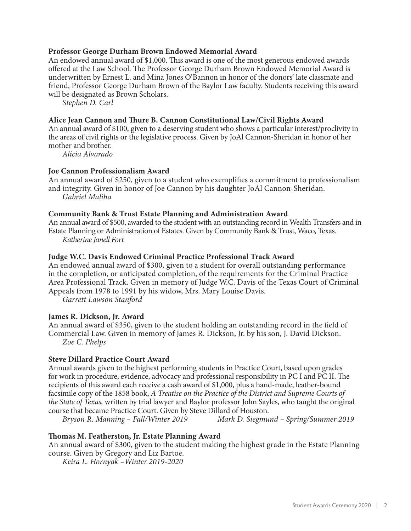#### **Professor George Durham Brown Endowed Memorial Award**

An endowed annual award of \$1,000. This award is one of the most generous endowed awards offered at the Law School. The Professor George Durham Brown Endowed Memorial Award is underwritten by Ernest L. and Mina Jones O'Bannon in honor of the donors' late classmate and friend, Professor George Durham Brown of the Baylor Law faculty. Students receiving this award will be designated as Brown Scholars.

*Stephen D. Carl*

#### **Alice Jean Cannon and Thure B. Cannon Constitutional Law/Civil Rights Award**

An annual award of \$100, given to a deserving student who shows a particular interest/proclivity in the areas of civil rights or the legislative process. Given by JoAl Cannon-Sheridan in honor of her mother and brother.

*Alicia Alvarado*

#### **Joe Cannon Professionalism Award**

An annual award of \$250, given to a student who exemplifies a commitment to professionalism and integrity. Given in honor of Joe Cannon by his daughter JoAl Cannon-Sheridan. *Gabriel Maliha*

#### **Community Bank & Trust Estate Planning and Administration Award**

An annual award of \$500, awarded to the student with an outstanding record in Wealth Transfers and in Estate Planning or Administration of Estates. Given by Community Bank & Trust, Waco, Texas. *Katherine Janell Fort* 

#### **Judge W.C. Davis Endowed Criminal Practice Professional Track Award**

An endowed annual award of \$300, given to a student for overall outstanding performance in the completion, or anticipated completion, of the requirements for the Criminal Practice Area Professional Track. Given in memory of Judge W.C. Davis of the Texas Court of Criminal Appeals from 1978 to 1991 by his widow, Mrs. Mary Louise Davis.

*Garrett Lawson Stanford*

#### **James R. Dickson, Jr. Award**

An annual award of \$350, given to the student holding an outstanding record in the field of Commercial Law. Given in memory of James R. Dickson, Jr. by his son, J. David Dickson. *Zoe C. Phelps*

#### **Steve Dillard Practice Court Award**

Annual awards given to the highest performing students in Practice Court, based upon grades for work in procedure, evidence, advocacy and professional responsibility in PC I and PC II. The recipients of this award each receive a cash award of \$1,000, plus a hand-made, leather-bound facsimile copy of the 1858 book, *A Treatise on the Practice of the District and Supreme Courts of the State of Texas,* written by trial lawyer and Baylor professor John Sayles, who taught the original course that became Practice Court. Given by Steve Dillard of Houston.

*Bryson R. Manning – Fall/Winter 2019 Mark D. Siegmund – Spring/Summer 2019*

#### **Thomas M. Featherston, Jr. Estate Planning Award**

An annual award of \$300, given to the student making the highest grade in the Estate Planning course. Given by Gregory and Liz Bartoe.

*Keira L. Hornyak –Winter 2019-2020*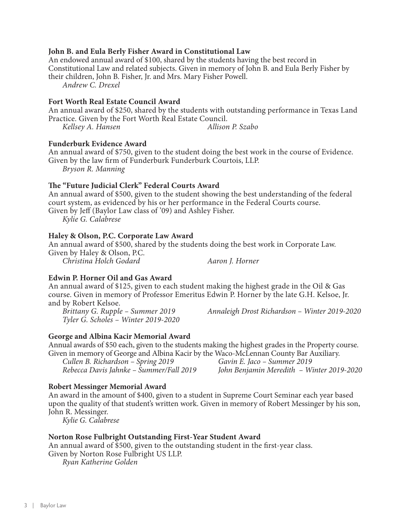#### **John B. and Eula Berly Fisher Award in Constitutional Law**

An endowed annual award of \$100, shared by the students having the best record in Constitutional Law and related subjects. Given in memory of John B. and Eula Berly Fisher by their children, John B. Fisher, Jr. and Mrs. Mary Fisher Powell.

*Andrew C. Drexel*

#### **Fort Worth Real Estate Council Award**

An annual award of \$250, shared by the students with outstanding performance in Texas Land Practice. Given by the Fort Worth Real Estate Council.

*Kellsey A. Hansen Allison P. Szabo* 

# **Funderburk Evidence Award**

An annual award of \$750, given to the student doing the best work in the course of Evidence. Given by the law firm of Funderburk Funderburk Courtois, LLP.

*Bryson R. Manning*

#### **The "Future Judicial Clerk" Federal Courts Award**

An annual award of \$500, given to the student showing the best understanding of the federal court system, as evidenced by his or her performance in the Federal Courts course. Given by Jeff (Baylor Law class of '09) and Ashley Fisher.

*Kylie G. Calabrese*

#### **Haley & Olson, P.C. Corporate Law Award**

An annual award of \$500, shared by the students doing the best work in Corporate Law. Given by Haley & Olson, P.C.

*Christina Holch Godard Aaron J. Horner*

#### **Edwin P. Horner Oil and Gas Award**

An annual award of \$125, given to each student making the highest grade in the Oil & Gas course. Given in memory of Professor Emeritus Edwin P. Horner by the late G.H. Kelsoe, Jr. and by Robert Kelsoe.

*Tyler G. Scholes – Winter 2019-2020*

*Brittany G. Rupple – Summer 2019 Annaleigh Drost Richardson – Winter 2019-2020*

#### **George and Albina Kacir Memorial Award**

Annual awards of \$50 each, given to the students making the highest grades in the Property course. Given in memory of George and Albina Kacir by the Waco-McLennan County Bar Auxiliary.

*Cullen B. Richardson – Spring 2019 Gavin E. Jaco – Summer 2019*

*Rebecca Davis Jahnke – Summer/Fall 2019 John Benjamin Meredith – Winter 2019-2020*

#### **Robert Messinger Memorial Award**

An award in the amount of \$400, given to a student in Supreme Court Seminar each year based upon the quality of that student's written work. Given in memory of Robert Messinger by his son, John R. Messinger.

*Kylie G. Calabrese*

#### **Norton Rose Fulbright Outstanding First-Year Student Award**

An annual award of \$500, given to the outstanding student in the first-year class. Given by Norton Rose Fulbright US LLP.

*Ryan Katherine Golden*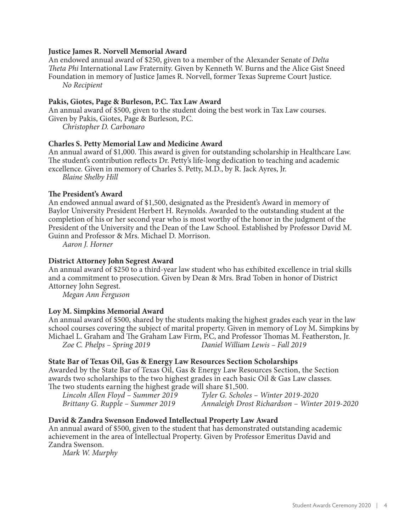#### **Justice James R. Norvell Memorial Award**

An endowed annual award of \$250, given to a member of the Alexander Senate of *Delta Theta Phi* International Law Fraternity. Given by Kenneth W. Burns and the Alice Gist Sneed Foundation in memory of Justice James R. Norvell, former Texas Supreme Court Justice. *No Recipient*

#### **Pakis, Giotes, Page & Burleson, P.C. Tax Law Award**

An annual award of \$500, given to the student doing the best work in Tax Law courses. Given by Pakis, Giotes, Page & Burleson, P.C.

*Christopher D. Carbonaro*

#### **Charles S. Petty Memorial Law and Medicine Award**

An annual award of \$1,000. This award is given for outstanding scholarship in Healthcare Law. The student's contribution reflects Dr. Petty's life-long dedication to teaching and academic excellence. Given in memory of Charles S. Petty, M.D., by R. Jack Ayres, Jr. *Blaine Shelby Hill*

#### **The President's Award**

An endowed annual award of \$1,500, designated as the President's Award in memory of Baylor University President Herbert H. Reynolds. Awarded to the outstanding student at the completion of his or her second year who is most worthy of the honor in the judgment of the President of the University and the Dean of the Law School. Established by Professor David M. Guinn and Professor & Mrs. Michael D. Morrison.

*Aaron J. Horner*

#### **District Attorney John Segrest Award**

An annual award of \$250 to a third-year law student who has exhibited excellence in trial skills and a commitment to prosecution. Given by Dean & Mrs. Brad Toben in honor of District Attorney John Segrest.

*Megan Ann Ferguson*

#### **Loy M. Simpkins Memorial Award**

An annual award of \$500, shared by the students making the highest grades each year in the law school courses covering the subject of marital property. Given in memory of Loy M. Simpkins by Michael L. Graham and The Graham Law Firm, P.C, and Professor Thomas M. Featherston, Jr. *Zoe C. Phelps – Spring 2019 Daniel William Lewis – Fall 2019*

#### **State Bar of Texas Oil, Gas & Energy Law Resources Section Scholarships**

Awarded by the State Bar of Texas Oil, Gas & Energy Law Resources Section, the Section awards two scholarships to the two highest grades in each basic Oil & Gas Law classes. The two students earning the highest grade will share \$1,500.

| Lincoln Allen Floyd – Summer 2019 | Tyler G. Scholes – Winter 2019-2020           |
|-----------------------------------|-----------------------------------------------|
| Brittany G. Rupple – Summer 2019  | Annaleigh Drost Richardson - Winter 2019-2020 |

#### **David & Zandra Swenson Endowed Intellectual Property Law Award**

An annual award of \$500, given to the student that has demonstrated outstanding academic achievement in the area of Intellectual Property. Given by Professor Emeritus David and Zandra Swenson.

*Mark W. Murphy*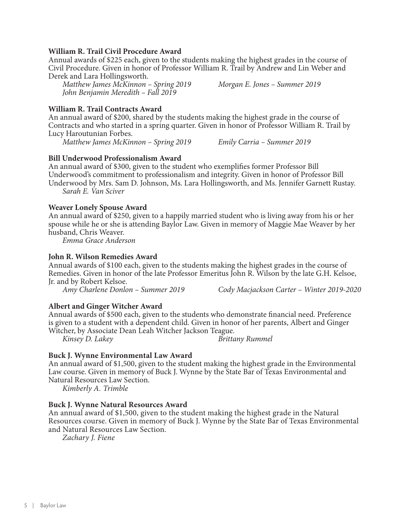#### **William R. Trail Civil Procedure Award**

Annual awards of \$225 each, given to the students making the highest grades in the course of Civil Procedure. Given in honor of Professor William R. Trail by Andrew and Lin Weber and Derek and Lara Hollingsworth.

*Matthew James McKinnon – Spring 2019 Morgan E. Jones – Summer 2019 John Benjamin Meredith – Fall 2019*

#### **William R. Trail Contracts Award**

An annual award of \$200, shared by the students making the highest grade in the course of Contracts and who started in a spring quarter. Given in honor of Professor William R. Trail by Lucy Haroutunian Forbes.

*Matthew James McKinnon – Spring 2019 Emily Carria – Summer 2019*

#### **Bill Underwood Professionalism Award**

An annual award of \$300, given to the student who exemplifies former Professor Bill Underwood's commitment to professionalism and integrity. Given in honor of Professor Bill Underwood by Mrs. Sam D. Johnson, Ms. Lara Hollingsworth, and Ms. Jennifer Garnett Rustay. *Sarah E. Van Sciver*

#### **Weaver Lonely Spouse Award**

An annual award of \$250, given to a happily married student who is living away from his or her spouse while he or she is attending Baylor Law. Given in memory of Maggie Mae Weaver by her husband, Chris Weaver.

*Emma Grace Anderson*

#### **John R. Wilson Remedies Award**

Annual awards of \$100 each, given to the students making the highest grades in the course of Remedies. Given in honor of the late Professor Emeritus John R. Wilson by the late G.H. Kelsoe, Jr. and by Robert Kelsoe.<br>Amy Charlene Donlon - Summer 2019

*Amy Charlene Donlon – Summer 2019 Cody Macjackson Carter – Winter 2019-2020*

#### **Albert and Ginger Witcher Award**

Annual awards of \$500 each, given to the students who demonstrate financial need. Preference is given to a student with a dependent child. Given in honor of her parents, Albert and Ginger Witcher, by Associate Dean Leah Witcher Jackson Teague.<br>Kinsey D. Lakey

*Kinsey D. Lakey Brittany Rummel*

#### **Buck J. Wynne Environmental Law Award**

An annual award of \$1,500, given to the student making the highest grade in the Environmental Law course. Given in memory of Buck J. Wynne by the State Bar of Texas Environmental and Natural Resources Law Section.

*Kimberly A. Trimble* 

#### **Buck J. Wynne Natural Resources Award**

An annual award of \$1,500, given to the student making the highest grade in the Natural Resources course. Given in memory of Buck J. Wynne by the State Bar of Texas Environmental and Natural Resources Law Section.

*Zachary J. Fiene*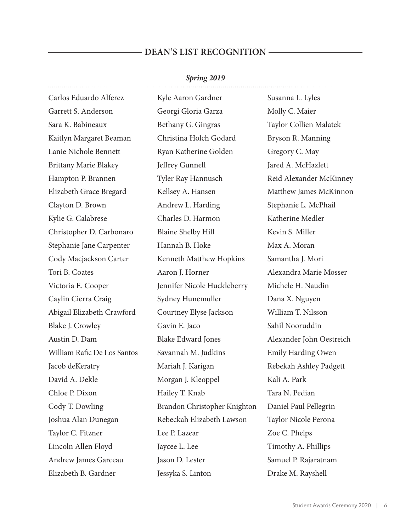# **DEAN'S LIST RECOGNITION**

# *Spring 2019*

| Carlos Eduardo Alferez       | Kyle Aaron Gardner           | Susanna L. Lyles          |
|------------------------------|------------------------------|---------------------------|
| Garrett S. Anderson          | Georgi Gloria Garza          | Molly C. Maier            |
| Sara K. Babineaux            | Bethany G. Gingras           | Taylor Collien Malatek    |
| Kaitlyn Margaret Beaman      | Christina Holch Godard       | Bryson R. Manning         |
| Lanie Nichole Bennett        | Ryan Katherine Golden        | Gregory C. May            |
| <b>Brittany Marie Blakey</b> | Jeffrey Gunnell              | Jared A. McHazlett        |
| Hampton P. Brannen           | Tyler Ray Hannusch           | Reid Alexander McKinney   |
| Elizabeth Grace Bregard      | Kellsey A. Hansen            | Matthew James McKinnon    |
| Clayton D. Brown             | Andrew L. Harding            | Stephanie L. McPhail      |
| Kylie G. Calabrese           | Charles D. Harmon            | Katherine Medler          |
| Christopher D. Carbonaro     | <b>Blaine Shelby Hill</b>    | Kevin S. Miller           |
| Stephanie Jane Carpenter     | Hannah B. Hoke               | Max A. Moran              |
| Cody Macjackson Carter       | Kenneth Matthew Hopkins      | Samantha J. Mori          |
| Tori B. Coates               | Aaron J. Horner              | Alexandra Marie Mosser    |
| Victoria E. Cooper           | Jennifer Nicole Huckleberry  | Michele H. Naudin         |
| Caylin Cierra Craig          | Sydney Hunemuller            | Dana X. Nguyen            |
| Abigail Elizabeth Crawford   | Courtney Elyse Jackson       | William T. Nilsson        |
| Blake J. Crowley             | Gavin E. Jaco                | Sahil Nooruddin           |
| Austin D. Dam                | <b>Blake Edward Jones</b>    | Alexander John Oestreich  |
| William Rafic De Los Santos  | Savannah M. Judkins          | <b>Emily Harding Owen</b> |
| Jacob deKeratry              | Mariah J. Karigan            | Rebekah Ashley Padgett    |
| David A. Dekle               | Morgan J. Kleoppel           | Kali A. Park              |
| Chloe P. Dixon               | Hailey T. Knab               | Tara N. Pedian            |
| Cody T. Dowling              | Brandon Christopher Knighton | Daniel Paul Pellegrin     |
| Joshua Alan Dunegan          | Rebeckah Elizabeth Lawson    | Taylor Nicole Perona      |
| Taylor C. Fitzner            | Lee P. Lazear                | Zoe C. Phelps             |
| Lincoln Allen Floyd          | Jaycee L. Lee                | Timothy A. Phillips       |
| Andrew James Garceau         | Jason D. Lester              | Samuel P. Rajaratnam      |
| Elizabeth B. Gardner         | Jessyka S. Linton            | Drake M. Rayshell         |
|                              |                              |                           |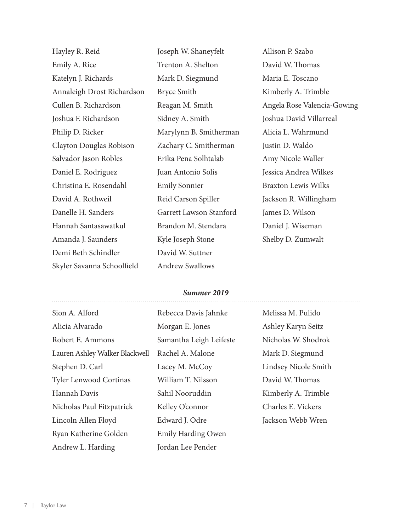| Hayley R. Reid             | Joseph W. Shaneyfelt    | Allison P. Szabo            |
|----------------------------|-------------------------|-----------------------------|
| Emily A. Rice              | Trenton A. Shelton      | David W. Thomas             |
| Katelyn J. Richards        | Mark D. Siegmund        | Maria E. Toscano            |
| Annaleigh Drost Richardson | Bryce Smith             | Kimberly A. Trimble         |
| Cullen B. Richardson       | Reagan M. Smith         | Angela Rose Valencia-Gowing |
| Joshua F. Richardson       | Sidney A. Smith         | Joshua David Villarreal     |
| Philip D. Ricker           | Marylynn B. Smitherman  | Alicia L. Wahrmund          |
| Clayton Douglas Robison    | Zachary C. Smitherman   | Justin D. Waldo             |
| Salvador Jason Robles      | Erika Pena Solhtalab    | Amy Nicole Waller           |
| Daniel E. Rodriguez        | Juan Antonio Solis      | Jessica Andrea Wilkes       |
| Christina E. Rosendahl     | <b>Emily Sonnier</b>    | <b>Braxton Lewis Wilks</b>  |
| David A. Rothweil          | Reid Carson Spiller     | Jackson R. Willingham       |
| Danelle H. Sanders         | Garrett Lawson Stanford | James D. Wilson             |
| Hannah Santasawatkul       | Brandon M. Stendara     | Daniel J. Wiseman           |
| Amanda J. Saunders         | Kyle Joseph Stone       | Shelby D. Zumwalt           |
| Demi Beth Schindler        | David W. Suttner        |                             |
| Skyler Savanna Schoolfield | <b>Andrew Swallows</b>  |                             |

#### *Summer 2019*

| Sion A. Alford                 | Rebecca Davis Jahnke      | Melissa M. Pulido    |
|--------------------------------|---------------------------|----------------------|
| Alicia Alvarado                | Morgan E. Jones           | Ashley Karyn Seitz   |
| Robert E. Ammons               | Samantha Leigh Leifeste   | Nicholas W. Shodrok  |
| Lauren Ashley Walker Blackwell | Rachel A. Malone          | Mark D. Siegmund     |
| Stephen D. Carl                | Lacey M. McCoy            | Lindsey Nicole Smith |
| Tyler Lenwood Cortinas         | William T. Nilsson        | David W. Thomas      |
| Hannah Davis                   | Sahil Nooruddin           | Kimberly A. Trimble  |
| Nicholas Paul Fitzpatrick      | Kelley O'connor           | Charles E. Vickers   |
| Lincoln Allen Floyd            | Edward J. Odre            | Jackson Webb Wren    |
| Ryan Katherine Golden          | <b>Emily Harding Owen</b> |                      |
| Andrew L. Harding              | Jordan Lee Pender         |                      |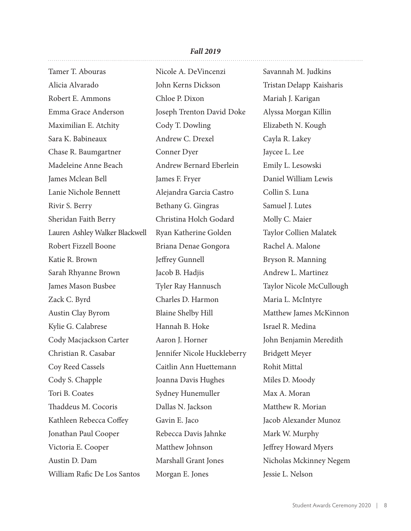#### *Fall 2019*

. . . . . . . . . . . . .

| Tamer T. Abouras               | Nicole A. DeVincenzi        | Savannah M. Judkins      |
|--------------------------------|-----------------------------|--------------------------|
| Alicia Alvarado                | John Kerns Dickson          | Tristan Delapp Kaisharis |
| Robert E. Ammons               | Chloe P. Dixon              | Mariah J. Karigan        |
| Emma Grace Anderson            | Joseph Trenton David Doke   | Alyssa Morgan Killin     |
| Maximilian E. Atchity          | Cody T. Dowling             | Elizabeth N. Kough       |
| Sara K. Babineaux              | Andrew C. Drexel            | Cayla R. Lakey           |
| Chase R. Baumgartner           | Conner Dyer                 | Jaycee L. Lee            |
| Madeleine Anne Beach           | Andrew Bernard Eberlein     | Emily L. Lesowski        |
| James Mclean Bell              | James F. Fryer              | Daniel William Lewis     |
| Lanie Nichole Bennett          | Alejandra Garcia Castro     | Collin S. Luna           |
| Rivir S. Berry                 | Bethany G. Gingras          | Samuel J. Lutes          |
| Sheridan Faith Berry           | Christina Holch Godard      | Molly C. Maier           |
| Lauren Ashley Walker Blackwell | Ryan Katherine Golden       | Taylor Collien Malatek   |
| Robert Fizzell Boone           | Briana Denae Gongora        | Rachel A. Malone         |
| Katie R. Brown                 | Jeffrey Gunnell             | Bryson R. Manning        |
| Sarah Rhyanne Brown            | Jacob B. Hadjis             | Andrew L. Martinez       |
| James Mason Busbee             | Tyler Ray Hannusch          | Taylor Nicole McCullough |
| Zack C. Byrd                   | Charles D. Harmon           | Maria L. McIntyre        |
| Austin Clay Byrom              | <b>Blaine Shelby Hill</b>   | Matthew James McKinnon   |
| Kylie G. Calabrese             | Hannah B. Hoke              | Israel R. Medina         |
| Cody Macjackson Carter         | Aaron J. Horner             | John Benjamin Meredith   |
| Christian R. Casabar           | Jennifer Nicole Huckleberry | <b>Bridgett Meyer</b>    |
| Coy Reed Cassels               | Caitlin Ann Huettemann      | Rohit Mittal             |
| Cody S. Chapple                | Joanna Davis Hughes         | Miles D. Moody           |
| Tori B. Coates                 | Sydney Hunemuller           | Max A. Moran             |
| Thaddeus M. Cocoris            | Dallas N. Jackson           | Matthew R. Morian        |
| Kathleen Rebecca Coffey        | Gavin E. Jaco               | Jacob Alexander Munoz    |
| Jonathan Paul Cooper           | Rebecca Davis Jahnke        | Mark W. Murphy           |
| Victoria E. Cooper             | Matthew Johnson             | Jeffrey Howard Myers     |
| Austin D. Dam                  | Marshall Grant Jones        | Nicholas Mckinney Negem  |
| William Rafic De Los Santos    | Morgan E. Jones             | Jessie L. Nelson         |
|                                |                             |                          |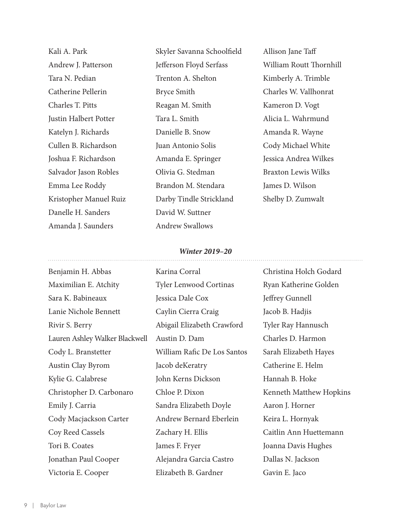Kali A. Park Andrew J. Patterson Tara N. Pedian Catherine Pellerin Charles T. Pitts Justin Halbert Potter Katelyn J. Richards Cullen B. Richardson Joshua F. Richardson Salvador Jason Robles Emma Lee Roddy Kristopher Manuel Ruiz Danelle H. Sanders Amanda J. Saunders

Skyler Savanna Schoolfield Jefferson Floyd Serfass Trenton A. Shelton Bryce Smith Reagan M. Smith Tara L. Smith Danielle B. Snow Juan Antonio Solis Amanda E. Springer Olivia G. Stedman Brandon M. Stendara Darby Tindle Strickland David W. Suttner Andrew Swallows

Allison Jane Taff William Routt Thornhill Kimberly A. Trimble Charles W. Vallhonrat Kameron D. Vogt Alicia L. Wahrmund Amanda R. Wayne Cody Michael White Jessica Andrea Wilkes Braxton Lewis Wilks James D. Wilson Shelby D. Zumwalt

#### *Winter 2019–20*

Benjamin H. Abbas Maximilian E. Atchity Sara K. Babineaux Lanie Nichole Bennett Rivir S. Berry Lauren Ashley Walker Blackwell Cody L. Branstetter Austin Clay Byrom Kylie G. Calabrese Christopher D. Carbonaro Emily J. Carria Cody Macjackson Carter Coy Reed Cassels Tori B. Coates Jonathan Paul Cooper Victoria E. Cooper Karina Corral Tyler Lenwood Cortinas Jessica Dale Cox Caylin Cierra Craig Abigail Elizabeth Crawford Austin D. Dam William Rafic De Los Santos Jacob deKeratry John Kerns Dickson Chloe P. Dixon Sandra Elizabeth Doyle Andrew Bernard Eberlein Zachary H. Ellis James F. Fryer Alejandra Garcia Castro Elizabeth B. Gardner Christina Holch Godard Ryan Katherine Golden Jeffrey Gunnell Jacob B. Hadjis Tyler Ray Hannusch Charles D. Harmon Sarah Elizabeth Hayes Catherine E. Helm Hannah B. Hoke Kenneth Matthew Hopkins Aaron J. Horner Keira L. Hornyak Caitlin Ann Huettemann Joanna Davis Hughes Dallas N. Jackson Gavin E. Jaco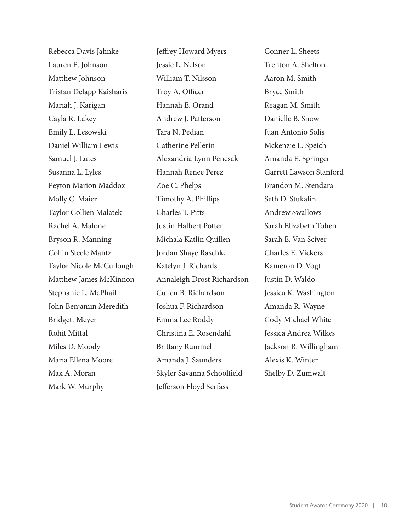Rebecca Davis Jahnke Lauren E. Johnson Matthew Johnson Tristan Delapp Kaisharis Mariah J. Karigan Cayla R. Lakey Emily L. Lesowski Daniel William Lewis Samuel J. Lutes Susanna L. Lyles Peyton Marion Maddox Molly C. Maier Taylor Collien Malatek Rachel A. Malone Bryson R. Manning Collin Steele Mantz Taylor Nicole McCullough Matthew James McKinnon Stephanie L. McPhail John Benjamin Meredith Bridgett Meyer Rohit Mittal Miles D. Moody Maria Ellena Moore Max A. Moran Mark W. Murphy

Jeffrey Howard Myers Jessie L. Nelson William T. Nilsson Troy A. Officer Hannah E. Orand Andrew J. Patterson Tara N. Pedian Catherine Pellerin Alexandria Lynn Pencsak Hannah Renee Perez Zoe C. Phelps Timothy A. Phillips Charles T. Pitts Justin Halbert Potter Michala Katlin Quillen Jordan Shaye Raschke Katelyn J. Richards Annaleigh Drost Richardson Cullen B. Richardson Joshua F. Richardson Emma Lee Roddy Christina E. Rosendahl Brittany Rummel Amanda J. Saunders Skyler Savanna Schoolfield Jefferson Floyd Serfass

Conner L. Sheets Trenton A. Shelton Aaron M. Smith Bryce Smith Reagan M. Smith Danielle B. Snow Juan Antonio Solis Mckenzie L. Speich Amanda E. Springer Garrett Lawson Stanford Brandon M. Stendara Seth D. Stukalin Andrew Swallows Sarah Elizabeth Toben Sarah E. Van Sciver Charles E. Vickers Kameron D. Vogt Justin D. Waldo Jessica K. Washington Amanda R. Wayne Cody Michael White Jessica Andrea Wilkes Jackson R. Willingham Alexis K. Winter Shelby D. Zumwalt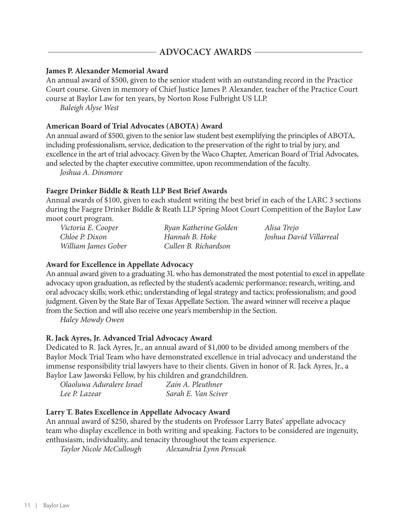# **ADVOCACY AWARDS**

#### **James P. Alexander Memorial Award**

An annual award of \$500, given to the senior student with an outstanding record in the Practice Court course. Given in memory of Chief Justice James P. Alexander, teacher of the Practice Court course at Baylor Law for ten years, by Norton Rose Fulbright US LLP.

*Baleigh Alyse West*

#### **American Board of Trial Advocates (ABOTA) Award**

An annual award of \$500, given to the senior law student best exemplifying the principles of ABOTA, including professionalism, service, dedication to the preservation of the right to trial by jury, and excellence in the art of trial advocacy. Given by the Waco Chapter, American Board of Trial Advocates, and selected by the chapter executive committee, upon recommendation of the faculty.

*Joshua A. Dinsmore*

#### **Faegre Drinker Biddle & Reath LLP Best Brief Awards**

Annual awards of \$100, given to each student writing the best brief in each of the LARC 3 sections during the Faegre Drinker Biddle & Reath LLP Spring Moot Court Competition of the Baylor Law moot court program.

| Victoria E. Cooper  | Ryan Katherine Golden | Alisa Trejo             |
|---------------------|-----------------------|-------------------------|
| Chloe P. Dixon      | Hannah B. Hoke        | Joshua David Villarreal |
| William James Gober | Cullen B. Richardson  |                         |

## **Award for Excellence in Appellate Advocacy**

An annual award given to a graduating 3L who has demonstrated the most potential to excel in appellate advocacy upon graduation, as reflected by the student's academic performance; research, writing, and oral advocacy skills; work ethic; understanding of legal strategy and tactics; professionalism; and good judgment. Given by the State Bar of Texas Appellate Section. The award winner will receive a plaque from the Section and will also receive one year's membership in the Section.

*Haley Mowdy Owen*

#### **R. Jack Ayres, Jr. Advanced Trial Advocacy Award**

Dedicated to R. Jack Ayres, Jr., an annual award of \$1,000 to be divided among members of the Baylor Mock Trial Team who have demonstrated excellence in trial advocacy and understand the immense responsibility trial lawyers have to their clients. Given in honor of R. Jack Ayres, Jr., a Baylor Law Jaworski Fellow, by his children and grandchildren.

| Olaoluwa Aduralere Israel | Zain A. Pleuthner   |
|---------------------------|---------------------|
| Lee P. Lazear             | Sarah E. Van Sciver |

#### **Larry T. Bates Excellence in Appellate Advocacy Award**

An annual award of \$250, shared by the students on Professor Larry Bates' appellate advocacy team who display excellence in both writing and speaking. Factors to be considered are ingenuity, enthusiasm, individuality, and tenacity throughout the team experience.

*Taylor Nicole McCullough Alexandria Lynn Penscak*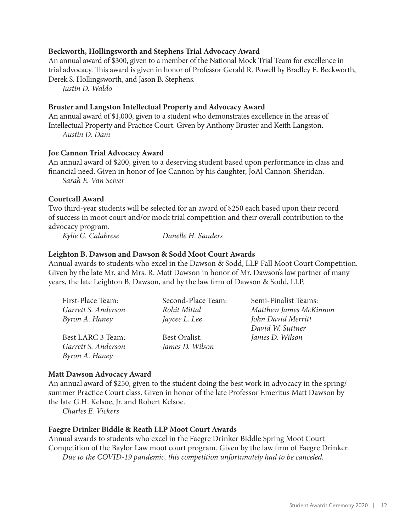#### **Beckworth, Hollingsworth and Stephens Trial Advocacy Award**

An annual award of \$300, given to a member of the National Mock Trial Team for excellence in trial advocacy. This award is given in honor of Professor Gerald R. Powell by Bradley E. Beckworth, Derek S. Hollingsworth, and Jason B. Stephens.

*Justin D. Waldo*

#### **Bruster and Langston Intellectual Property and Advocacy Award**

An annual award of \$1,000, given to a student who demonstrates excellence in the areas of Intellectual Property and Practice Court. Given by Anthony Bruster and Keith Langston. *Austin D. Dam*

#### **Joe Cannon Trial Advocacy Award**

An annual award of \$200, given to a deserving student based upon performance in class and financial need. Given in honor of Joe Cannon by his daughter, JoAl Cannon-Sheridan. *Sarah E. Van Sciver*

#### **Courtcall Award**

Two third-year students will be selected for an award of \$250 each based upon their record of success in moot court and/or mock trial competition and their overall contribution to the advocacy program.

*Kylie G. Calabrese Danelle H. Sanders*

#### **Leighton B. Dawson and Dawson & Sodd Moot Court Awards**

Annual awards to students who excel in the Dawson & Sodd, LLP Fall Moot Court Competition. Given by the late Mr. and Mrs. R. Matt Dawson in honor of Mr. Dawson's law partner of many years, the late Leighton B. Dawson, and by the law firm of Dawson & Sodd, LLP.

| First-Place Team:   | Second-Place Team:   | Semi-Finalist Teams:   |
|---------------------|----------------------|------------------------|
| Garrett S. Anderson | Rohit Mittal         | Matthew James McKinnon |
| Byron A. Haney      | Jaycee L. Lee        | John David Merritt     |
|                     |                      | David W. Suttner       |
| Best LARC 3 Team:   | <b>Best Oralist:</b> | James D. Wilson        |
| Garrett S. Anderson | James D. Wilson      |                        |
| Byron A. Haney      |                      |                        |

#### **Matt Dawson Advocacy Award**

An annual award of \$250, given to the student doing the best work in advocacy in the spring/ summer Practice Court class. Given in honor of the late Professor Emeritus Matt Dawson by the late G.H. Kelsoe, Jr. and Robert Kelsoe.

*Charles E. Vickers*

#### **Faegre Drinker Biddle & Reath LLP Moot Court Awards**

Annual awards to students who excel in the Faegre Drinker Biddle Spring Moot Court Competition of the Baylor Law moot court program. Given by the law firm of Faegre Drinker. *Due to the COVID-19 pandemic, this competition unfortunately had to be canceled.*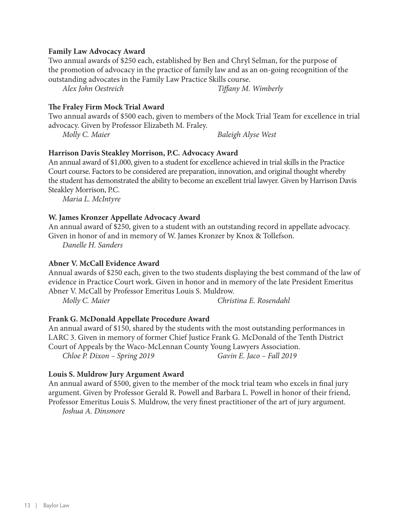#### **Family Law Advocacy Award**

Two annual awards of \$250 each, established by Ben and Chryl Selman, for the purpose of the promotion of advocacy in the practice of family law and as an on-going recognition of the outstanding advocates in the Family Law Practice Skills course.

*Alex John Oestreich Tiffany M. Wimberly*

#### **The Fraley Firm Mock Trial Award**

Two annual awards of \$500 each, given to members of the Mock Trial Team for excellence in trial advocacy. Given by Professor Elizabeth M. Fraley.

*Molly C. Maier Baleigh Alyse West*

#### **Harrison Davis Steakley Morrison, P.C. Advocacy Award**

An annual award of \$1,000, given to a student for excellence achieved in trial skills in the Practice Court course. Factors to be considered are preparation, innovation, and original thought whereby the student has demonstrated the ability to become an excellent trial lawyer. Given by Harrison Davis Steakley Morrison, P.C.

*Maria L. McIntyre*

#### **W. James Kronzer Appellate Advocacy Award**

An annual award of \$250, given to a student with an outstanding record in appellate advocacy. Given in honor of and in memory of W. James Kronzer by Knox & Tollefson.

*Danelle H. Sanders*

#### **Abner V. McCall Evidence Award**

Annual awards of \$250 each, given to the two students displaying the best command of the law of evidence in Practice Court work. Given in honor and in memory of the late President Emeritus Abner V. McCall by Professor Emeritus Louis S. Muldrow.

*Molly C. Maier Christina E. Rosendahl*

#### **Frank G. McDonald Appellate Procedure Award**

An annual award of \$150, shared by the students with the most outstanding performances in LARC 3. Given in memory of former Chief Justice Frank G. McDonald of the Tenth District Court of Appeals by the Waco-McLennan County Young Lawyers Association. *Chloe P. Dixon – Spring 2019 Gavin E. Jaco – Fall 2019*

#### **Louis S. Muldrow Jury Argument Award**

An annual award of \$500, given to the member of the mock trial team who excels in final jury argument. Given by Professor Gerald R. Powell and Barbara L. Powell in honor of their friend, Professor Emeritus Louis S. Muldrow, the very finest practitioner of the art of jury argument. *Joshua A. Dinsmore*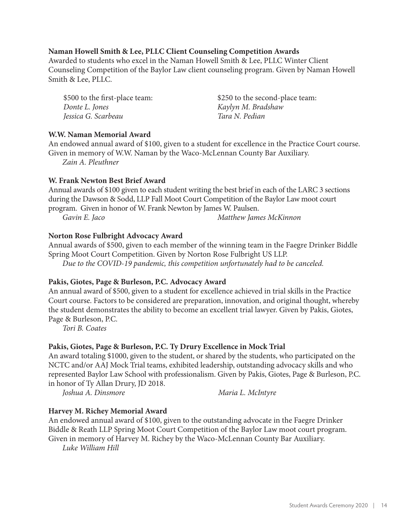# **Naman Howell Smith & Lee, PLLC Client Counseling Competition Awards**

Awarded to students who excel in the Naman Howell Smith & Lee, PLLC Winter Client Counseling Competition of the Baylor Law client counseling program. Given by Naman Howell Smith & Lee, PLLC.

*Donte L. Jones Kaylyn M. Bradshaw Jessica G. Scarbeau Tara N. Pedian*

\$500 to the first-place team: \$250 to the second-place team:

# **W.W. Naman Memorial Award**

An endowed annual award of \$100, given to a student for excellence in the Practice Court course. Given in memory of W.W. Naman by the Waco-McLennan County Bar Auxiliary. *Zain A. Pleuthner*

# **W. Frank Newton Best Brief Award**

Annual awards of \$100 given to each student writing the best brief in each of the LARC 3 sections during the Dawson & Sodd, LLP Fall Moot Court Competition of the Baylor Law moot court program. Given in honor of W. Frank Newton by James W. Paulsen.

*Gavin E. Jaco Matthew James McKinnon*

# **Norton Rose Fulbright Advocacy Award**

Annual awards of \$500, given to each member of the winning team in the Faegre Drinker Biddle Spring Moot Court Competition. Given by Norton Rose Fulbright US LLP.

*Due to the COVID-19 pandemic, this competition unfortunately had to be canceled.* 

# **Pakis, Giotes, Page & Burleson, P.C. Advocacy Award**

An annual award of \$500, given to a student for excellence achieved in trial skills in the Practice Court course. Factors to be considered are preparation, innovation, and original thought, whereby the student demonstrates the ability to become an excellent trial lawyer. Given by Pakis, Giotes, Page & Burleson, P.C.

*Tori B. Coates*

# **Pakis, Giotes, Page & Burleson, P.C. Ty Drury Excellence in Mock Trial**

An award totaling \$1000, given to the student, or shared by the students, who participated on the NCTC and/or AAJ Mock Trial teams, exhibited leadership, outstanding advocacy skills and who represented Baylor Law School with professionalism. Given by Pakis, Giotes, Page & Burleson, P.C. in honor of Ty Allan Drury, JD 2018.

*Joshua A. Dinsmore* Maria L. McIntyre

# **Harvey M. Richey Memorial Award**

An endowed annual award of \$100, given to the outstanding advocate in the Faegre Drinker Biddle & Reath LLP Spring Moot Court Competition of the Baylor Law moot court program. Given in memory of Harvey M. Richey by the Waco-McLennan County Bar Auxiliary.

*Luke William Hill*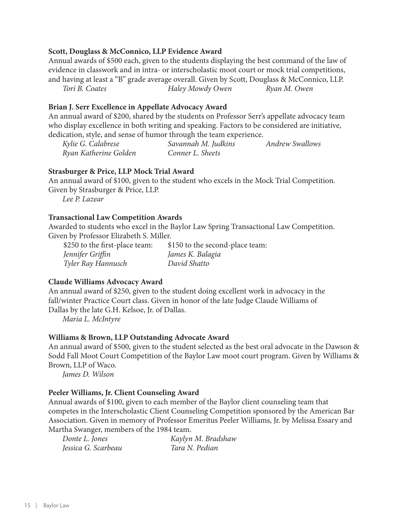# **Scott, Douglass & McConnico, LLP Evidence Award**

Annual awards of \$500 each, given to the students displaying the best command of the law of evidence in classwork and in intra- or interscholastic moot court or mock trial competitions, and having at least a "B" grade average overall. Given by Scott, Douglass & McConnico, LLP. *Tori B. Coates Haley Mowdy Owen Ryan M. Owen*

#### **Brian J. Serr Excellence in Appellate Advocacy Award**

An annual award of \$200, shared by the students on Professor Serr's appellate advocacy team who display excellence in both writing and speaking. Factors to be considered are initiative, dedication, style, and sense of humor through the team experience.

*Kylie G. Calabrese Savannah M. Judkins Andrew Swallows Ryan Katherine Golden Conner L. Sheets*

#### **Strasburger & Price, LLP Mock Trial Award**

An annual award of \$100, given to the student who excels in the Mock Trial Competition. Given by Strasburger & Price, LLP.

*Lee P. Lazear*

#### **Transactional Law Competition Awards**

Awarded to students who excel in the Baylor Law Spring Transactional Law Competition. Given by Professor Elizabeth S. Miller.

| \$250 to the first-place team: | \$150 to the second-place team: |
|--------------------------------|---------------------------------|
| Jennifer Griffin               | James K. Balagia                |
| Tyler Ray Hannusch             | David Shatto                    |

#### **Claude Williams Advocacy Award**

An annual award of \$250, given to the student doing excellent work in advocacy in the fall/winter Practice Court class. Given in honor of the late Judge Claude Williams of Dallas by the late G.H. Kelsoe, Jr. of Dallas.

*Maria L. McIntyre*

#### **Williams & Brown, LLP Outstanding Advocate Award**

An annual award of \$500, given to the student selected as the best oral advocate in the Dawson & Sodd Fall Moot Court Competition of the Baylor Law moot court program. Given by Williams & Brown, LLP of Waco.

*James D. Wilson*

#### **Peeler Williams, Jr. Client Counseling Award**

Annual awards of \$100, given to each member of the Baylor client counseling team that competes in the Interscholastic Client Counseling Competition sponsored by the American Bar Association. Given in memory of Professor Emeritus Peeler Williams, Jr. by Melissa Essary and Martha Swanger, members of the 1984 team.

| Donte L. Jones      | Kaylyn M. Bradshaw |
|---------------------|--------------------|
| Jessica G. Scarbeau | Tara N. Pedian     |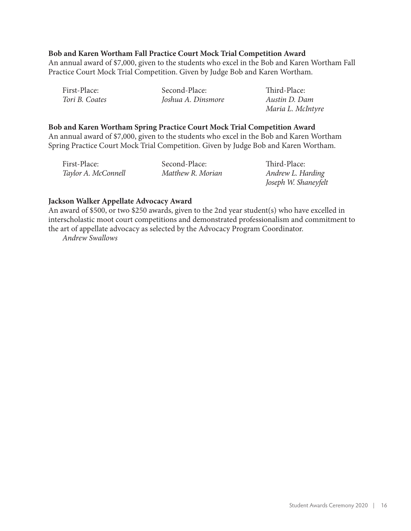# **Bob and Karen Wortham Fall Practice Court Mock Trial Competition Award**

An annual award of \$7,000, given to the students who excel in the Bob and Karen Wortham Fall Practice Court Mock Trial Competition. Given by Judge Bob and Karen Wortham.

| First-Place:   | Second-Place:      | Third-Place: |
|----------------|--------------------|--------------|
| Tori B. Coates | Joshua A. Dinsmore | Austin D. Da |

*Tori B. Coates Joshua A. Dinsmore Austin D. Dam Maria L. McIntyre* 

# **Bob and Karen Wortham Spring Practice Court Mock Trial Competition Award**

An annual award of \$7,000, given to the students who excel in the Bob and Karen Wortham Spring Practice Court Mock Trial Competition. Given by Judge Bob and Karen Wortham.

*Taylor A. McConnell Matthew R. Morian Andrew L. Harding*

First-Place: Second-Place: Third-Place:

 *Joseph W. Shaneyfelt*

# **Jackson Walker Appellate Advocacy Award**

An award of \$500, or two \$250 awards, given to the 2nd year student(s) who have excelled in interscholastic moot court competitions and demonstrated professionalism and commitment to the art of appellate advocacy as selected by the Advocacy Program Coordinator.

*Andrew Swallows*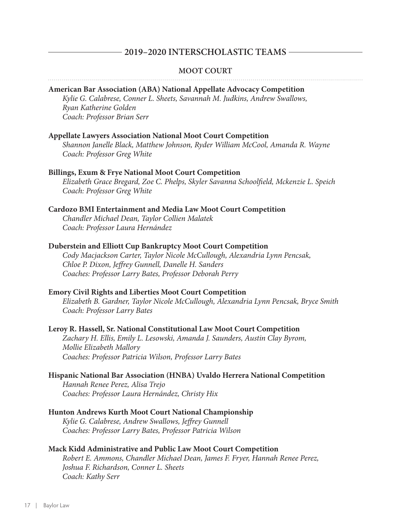# **2019–2020 INTERSCHOLASTIC TEAMS**

#### **MOOT COURT**

**American Bar Association (ABA) National Appellate Advocacy Competition** *Kylie G. Calabrese, Conner L. Sheets, Savannah M. Judkins, Andrew Swallows, Ryan Katherine Golden Coach: Professor Brian Serr*

#### **Appellate Lawyers Association National Moot Court Competition**

*Shannon Janelle Black, Matthew Johnson, Ryder William McCool, Amanda R. Wayne Coach: Professor Greg White*

#### **Billings, Exum & Frye National Moot Court Competition**

*Elizabeth Grace Bregard, Zoe C. Phelps, Skyler Savanna Schoolfield, Mckenzie L. Speich Coach: Professor Greg White*

#### **Cardozo BMI Entertainment and Media Law Moot Court Competition**

*Chandler Michael Dean, Taylor Collien Malatek Coach: Professor Laura Hernández*

#### **Duberstein and Elliott Cup Bankruptcy Moot Court Competition**

*Cody Macjackson Carter, Taylor Nicole McCullough, Alexandria Lynn Pencsak, Chloe P. Dixon, Jeffrey Gunnell, Danelle H. Sanders Coaches: Professor Larry Bates, Professor Deborah Perry*

#### **Emory Civil Rights and Liberties Moot Court Competition**

*Elizabeth B. Gardner, Taylor Nicole McCullough, Alexandria Lynn Pencsak, Bryce Smith Coach: Professor Larry Bates*

#### **Leroy R. Hassell, Sr. National Constitutional Law Moot Court Competition**

*Zachary H. Ellis, Emily L. Lesowski, Amanda J. Saunders, Austin Clay Byrom, Mollie Elizabeth Mallory Coaches: Professor Patricia Wilson, Professor Larry Bates*

#### **Hispanic National Bar Association (HNBA) Uvaldo Herrera National Competition**

*Hannah Renee Perez, Alisa Trejo Coaches: Professor Laura Hernández, Christy Hix*

#### **Hunton Andrews Kurth Moot Court National Championship**

*Kylie G. Calabrese, Andrew Swallows, Jeffrey Gunnell Coaches: Professor Larry Bates, Professor Patricia Wilson*

#### **Mack Kidd Administrative and Public Law Moot Court Competition**

*Robert E. Ammons, Chandler Michael Dean, James F. Fryer, Hannah Renee Perez, Joshua F. Richardson, Conner L. Sheets Coach: Kathy Serr*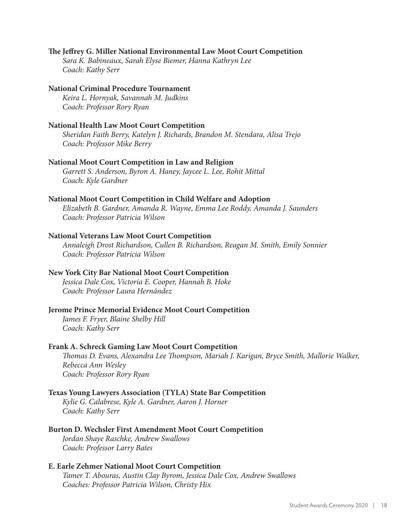#### **The Jeffrey G. Miller National Environmental Law Moot Court Competition**

*Sara K. Babineaux, Sarah Elyse Biemer, Hanna Kathryn Lee Coach: Kathy Serr*

#### **National Criminal Procedure Tournament**

*Keira L. Hornyak, Savannah M. Judkins Coach: Professor Rory Ryan*

#### **National Health Law Moot Court Competition**

*Sheridan Faith Berry, Katelyn J. Richards, Brandon M. Stendara, Alisa Trejo Coach: Professor Mike Berry*

#### **National Moot Court Competition in Law and Religion**

*Garrett S. Anderson, Byron A. Haney, Jaycee L. Lee, Rohit Mittal Coach: Kyle Gardner*

#### **National Moot Court Competition in Child Welfare and Adoption**

*Elizabeth B. Gardner, Amanda R. Wayne, Emma Lee Roddy, Amanda J. Saunders Coach: Professor Patricia Wilson*

# **National Veterans Law Moot Court Competition**

*Annaleigh Drost Richardson, Cullen B. Richardson, Reagan M. Smith, Emily Sonnier Coach: Professor Patricia Wilson*

## **New York City Bar National Moot Court Competition**

*Jessica Dale Cox, Victoria E. Cooper, Hannah B. Hoke Coach: Professor Laura Hernández*

#### **Jerome Prince Memorial Evidence Moot Court Competition**

*James F. Fryer, Blaine Shelby Hill Coach: Kathy Serr*

#### **Frank A. Schreck Gaming Law Moot Court Competition**

*Thomas D. Evans, Alexandra Lee Thompson, Mariah J. Karigan, Bryce Smith, Mallorie Walker, Rebecca Ann Wesley Coach: Professor Rory Ryan*

#### **Texas Young Lawyers Association (TYLA) State Bar Competition**

*Kylie G. Calabrese, Kyle A. Gardner, Aaron J. Horner Coach: Kathy Serr*

#### **Burton D. Wechsler First Amendment Moot Court Competition**

*Jordan Shaye Raschke, Andrew Swallows Coach: Professor Larry Bates*

#### **E. Earle Zehmer National Moot Court Competition**

*Tamer T. Abouras, Austin Clay Byrom, Jessica Dale Cox, Andrew Swallows Coaches: Professor Patricia Wilson, Christy Hix*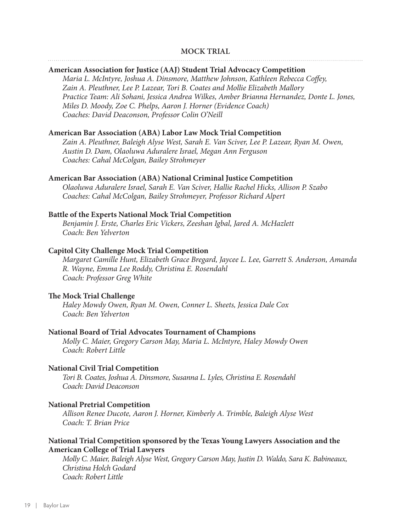#### **MOCK TRIAL**

#### **American Association for Justice (AAJ) Student Trial Advocacy Competition**

*Maria L. McIntyre, Joshua A. Dinsmore, Matthew Johnson, Kathleen Rebecca Coffey, Zain A. Pleuthner, Lee P. Lazear, Tori B. Coates and Mollie Elizabeth Mallory Practice Team: Ali Sohani, Jessica Andrea Wilkes, Amber Brianna Hernandez, Donte L. Jones, Miles D. Moody, Zoe C. Phelps, Aaron J. Horner (Evidence Coach) Coaches: David Deaconson, Professor Colin O'Neill*

#### **American Bar Association (ABA) Labor Law Mock Trial Competition**

*Zain A. Pleuthner, Baleigh Alyse West, Sarah E. Van Sciver, Lee P. Lazear, Ryan M. Owen, Austin D. Dam, Olaoluwa Aduralere Israel, Megan Ann Ferguson Coaches: Cahal McColgan, Bailey Strohmeyer*

#### **American Bar Association (ABA) National Criminal Justice Competition**

*Olaoluwa Aduralere Israel, Sarah E. Van Sciver, Hallie Rachel Hicks, Allison P. Szabo Coaches: Cahal McColgan, Bailey Strohmeyer, Professor Richard Alpert*

#### **Battle of the Experts National Mock Trial Competition**

*Benjamin J. Erste, Charles Eric Vickers, Zeeshan Igbal, Jared A. McHazlett Coach: Ben Yelverton*

#### **Capitol City Challenge Mock Trial Competition**

*Margaret Camille Hunt, Elizabeth Grace Bregard, Jaycee L. Lee, Garrett S. Anderson, Amanda R. Wayne, Emma Lee Roddy, Christina E. Rosendahl Coach: Professor Greg White*

#### **The Mock Trial Challenge**

*Haley Mowdy Owen, Ryan M. Owen, Conner L. Sheets, Jessica Dale Cox Coach: Ben Yelverton*

#### **National Board of Trial Advocates Tournament of Champions**

*Molly C. Maier, Gregory Carson May, Maria L. McIntyre, Haley Mowdy Owen Coach: Robert Little*

#### **National Civil Trial Competition**

*Tori B. Coates, Joshua A. Dinsmore, Susanna L. Lyles, Christina E. Rosendahl Coach: David Deaconson*

#### **National Pretrial Competition**

*Allison Renee Ducote, Aaron J. Horner, Kimberly A. Trimble, Baleigh Alyse West Coach: T. Brian Price*

#### **National Trial Competition sponsored by the Texas Young Lawyers Association and the American College of Trial Lawyers**

*Molly C. Maier, Baleigh Alyse West, Gregory Carson May, Justin D. Waldo, Sara K. Babineaux, Christina Holch Godard Coach: Robert Little*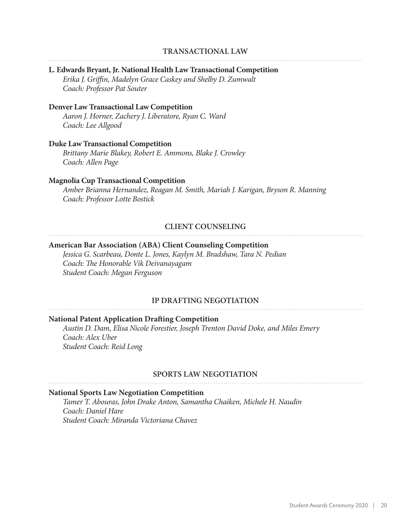#### **TRANSACTIONAL LAW**

#### **L. Edwards Bryant, Jr. National Health Law Transactional Competition**

*Erika J. Griffin, Madelyn Grace Caskey and Shelby D. Zumwalt Coach: Professor Pat Souter*

#### **Denver Law Transactional Law Competition**

*Aaron J. Horner, Zachery J. Liberatore, Ryan C. Ward Coach: Lee Allgood* 

#### **Duke Law Transactional Competition**

*Brittany Marie Blakey, Robert E. Ammons, Blake J. Crowley Coach: Allen Page*

#### **Magnolia Cup Transactional Competition**

*Amber Brianna Hernandez, Reagan M. Smith, Mariah J. Karigan, Bryson R. Manning Coach: Professor Lotte Bostick*

#### **CLIENT COUNSELING**

# **American Bar Association (ABA) Client Counseling Competition**

*Jessica G. Scarbeau, Donte L. Jones, Kaylyn M. Bradshaw, Tara N. Pedian Coach: The Honorable Vik Deivanayagam Student Coach: Megan Ferguson* 

#### **IP DRAFTING NEGOTIATION**

#### **National Patent Application Drafting Competition**

*Austin D. Dam, Elisa Nicole Forestier, Joseph Trenton David Doke, and Miles Emery Coach: Alex Uber Student Coach: Reid Long*

#### **SPORTS LAW NEGOTIATION**

#### **National Sports Law Negotiation Competition**

*Tamer T. Abouras, John Drake Anton, Samantha Chaiken, Michele H. Naudin Coach: Daniel Hare Student Coach: Miranda Victoriana Chavez*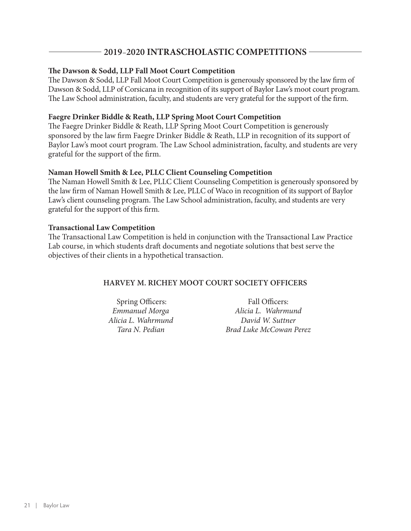# **2019***–***2020 INTRASCHOLASTIC COMPETITIONS**

# **The Dawson & Sodd, LLP Fall Moot Court Competition**

The Dawson & Sodd, LLP Fall Moot Court Competition is generously sponsored by the law firm of Dawson & Sodd, LLP of Corsicana in recognition of its support of Baylor Law's moot court program. The Law School administration, faculty, and students are very grateful for the support of the firm.

# **Faegre Drinker Biddle & Reath, LLP Spring Moot Court Competition**

The Faegre Drinker Biddle & Reath, LLP Spring Moot Court Competition is generously sponsored by the law firm Faegre Drinker Biddle & Reath, LLP in recognition of its support of Baylor Law's moot court program. The Law School administration, faculty, and students are very grateful for the support of the firm.

#### **Naman Howell Smith & Lee, PLLC Client Counseling Competition**

The Naman Howell Smith & Lee, PLLC Client Counseling Competition is generously sponsored by the law firm of Naman Howell Smith & Lee, PLLC of Waco in recognition of its support of Baylor Law's client counseling program. The Law School administration, faculty, and students are very grateful for the support of this firm.

#### **Transactional Law Competition**

The Transactional Law Competition is held in conjunction with the Transactional Law Practice Lab course, in which students draft documents and negotiate solutions that best serve the objectives of their clients in a hypothetical transaction.

# **HARVEY M. RICHEY MOOT COURT SOCIETY OFFICERS**

 Spring Officers: *Emmanuel Morga Alicia L. Wahrmund Tara N. Pedian*

Fall Officers: *Alicia L. Wahrmund David W. Suttner Brad Luke McCowan Perez*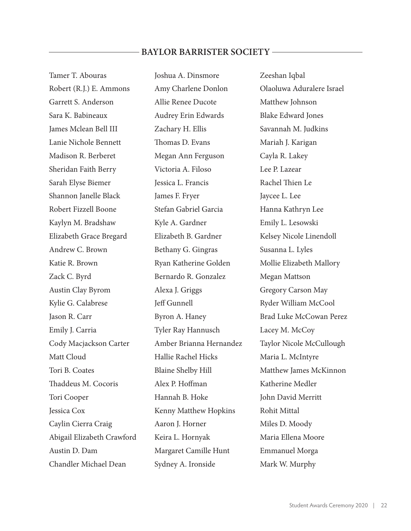#### **BAYLOR BARRISTER SOCIETY**

Tamer T. Abouras Robert (R.J.) E. Ammons Garrett S. Anderson Sara K. Babineaux James Mclean Bell III Lanie Nichole Bennett Madison R. Berberet Sheridan Faith Berry Sarah Elyse Biemer Shannon Janelle Black Robert Fizzell Boone Kaylyn M. Bradshaw Elizabeth Grace Bregard Andrew C. Brown Katie R. Brown Zack C. Byrd Austin Clay Byrom Kylie G. Calabrese Jason R. Carr Emily J. Carria Cody Macjackson Carter Matt Cloud Tori B. Coates Thaddeus M. Cocoris Tori Cooper Jessica Cox Caylin Cierra Craig Abigail Elizabeth Crawford Austin D. Dam Chandler Michael Dean

Joshua A. Dinsmore Amy Charlene Donlon Allie Renee Ducote Audrey Erin Edwards Zachary H. Ellis Thomas D. Evans Megan Ann Ferguson Victoria A. Filoso Jessica L. Francis James F. Fryer Stefan Gabriel Garcia Kyle A. Gardner Elizabeth B. Gardner Bethany G. Gingras Ryan Katherine Golden Bernardo R. Gonzalez Alexa J. Griggs Jeff Gunnell Byron A. Haney Tyler Ray Hannusch Amber Brianna Hernandez Hallie Rachel Hicks Blaine Shelby Hill Alex P. Hoffman Hannah B. Hoke Kenny Matthew Hopkins Aaron J. Horner Keira L. Hornyak Margaret Camille Hunt Sydney A. Ironside

Zeeshan Iqbal Olaoluwa Aduralere Israel Matthew Johnson Blake Edward Jones Savannah M. Judkins Mariah J. Karigan Cayla R. Lakey Lee P. Lazear Rachel Thien Le Jaycee L. Lee Hanna Kathryn Lee Emily L. Lesowski Kelsey Nicole Linendoll Susanna L. Lyles Mollie Elizabeth Mallory Megan Mattson Gregory Carson May Ryder William McCool Brad Luke McCowan Perez Lacey M. McCoy Taylor Nicole McCullough Maria L. McIntyre Matthew James McKinnon Katherine Medler John David Merritt Rohit Mittal Miles D. Moody Maria Ellena Moore Emmanuel Morga Mark W. Murphy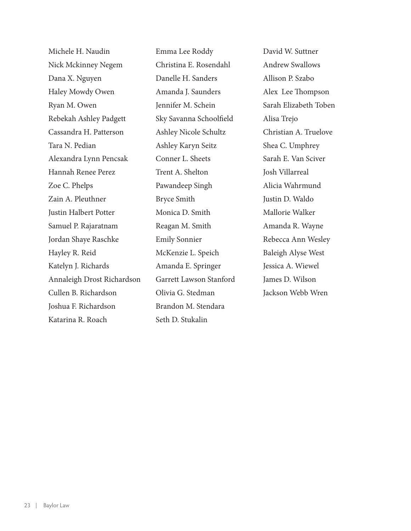Michele H. Naudin Nick Mckinney Negem Dana X. Nguyen Haley Mowdy Owen Ryan M. Owen Rebekah Ashley Padgett Cassandra H. Patterson Tara N. Pedian Alexandra Lynn Pencsak Hannah Renee Perez Zoe C. Phelps Zain A. Pleuthner Justin Halbert Potter Samuel P. Rajaratnam Jordan Shaye Raschke Hayley R. Reid Katelyn J. Richards Annaleigh Drost Richardson Cullen B. Richardson Joshua F. Richardson Katarina R. Roach

Emma Lee Roddy Christina E. Rosendahl Danelle H. Sanders Amanda J. Saunders Jennifer M. Schein Sky Savanna Schoolfield Ashley Nicole Schultz Ashley Karyn Seitz Conner L. Sheets Trent A. Shelton Pawandeep Singh Bryce Smith Monica D. Smith Reagan M. Smith Emily Sonnier McKenzie L. Speich Amanda E. Springer Garrett Lawson Stanford Olivia G. Stedman Brandon M. Stendara Seth D. Stukalin

David W. Suttner Andrew Swallows Allison P. Szabo Alex Lee Thompson Sarah Elizabeth Toben Alisa Trejo Christian A. Truelove Shea C. Umphrey Sarah E. Van Sciver Josh Villarreal Alicia Wahrmund Justin D. Waldo Mallorie Walker Amanda R. Wayne Rebecca Ann Wesley Baleigh Alyse West Jessica A. Wiewel James D. Wilson Jackson Webb Wren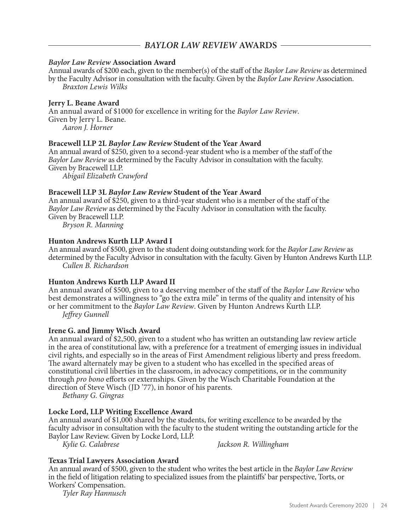# *BAYLOR LAW REVIEW* **AWARDS**

#### *Baylor Law Review* **Association Award**

Annual awards of \$200 each, given to the member(s) of the staff of the *Baylor Law Review* as determined by the Faculty Advisor in consultation with the faculty. Given by the *Baylor Law Review* Association. *Braxton Lewis Wilks*

#### **Jerry L. Beane Award**

An annual award of \$1000 for excellence in writing for the *Baylor Law Review*. Given by Jerry L. Beane. *Aaron J. Horner*

#### **Bracewell LLP 2L** *Baylor Law Review* **Student of the Year Award**

An annual award of \$250, given to a second-year student who is a member of the staff of the *Baylor Law Review* as determined by the Faculty Advisor in consultation with the faculty. Given by Bracewell LLP.

*Abigail Elizabeth Crawford*

#### **Bracewell LLP 3L** *Baylor Law Review* **Student of the Year Award**

An annual award of \$250, given to a third-year student who is a member of the staff of the *Baylor Law Review* as determined by the Faculty Advisor in consultation with the faculty. Given by Bracewell LLP.

*Bryson R. Manning*

#### **Hunton Andrews Kurth LLP Award I**

An annual award of \$500, given to the student doing outstanding work for the *Baylor Law Review* as determined by the Faculty Advisor in consultation with the faculty. Given by Hunton Andrews Kurth LLP. *Cullen B. Richardson*

#### **Hunton Andrews Kurth LLP Award II**

An annual award of \$500, given to a deserving member of the staff of the *Baylor Law Review* who best demonstrates a willingness to "go the extra mile" in terms of the quality and intensity of his or her commitment to the *Baylor Law Review*. Given by Hunton Andrews Kurth LLP. *Jeffrey Gunnell*

#### **Irene G. and Jimmy Wisch Award**

An annual award of \$2,500, given to a student who has written an outstanding law review article in the area of constitutional law, with a preference for a treatment of emerging issues in individual civil rights, and especially so in the areas of First Amendment religious liberty and press freedom. The award alternately may be given to a student who has excelled in the specified areas of constitutional civil liberties in the classroom, in advocacy competitions, or in the community through *pro bono* efforts or externships. Given by the Wisch Charitable Foundation at the direction of Steve Wisch (JD '77), in honor of his parents.

*Bethany G. Gingras*

# **Locke Lord, LLP Writing Excellence Award**

An annual award of \$1,000 shared by the students, for writing excellence to be awarded by the faculty advisor in consultation with the faculty to the student writing the outstanding article for the Baylor Law Review. Given by Locke Lord, LLP.

*Kylie G. Calabrese Jackson R. Willingham*

# **Texas Trial Lawyers Association Award**

An annual award of \$500, given to the student who writes the best article in the *Baylor Law Review* in the field of litigation relating to specialized issues from the plaintiffs' bar perspective, Torts, or Workers' Compensation.

*Tyler Ray Hannusch*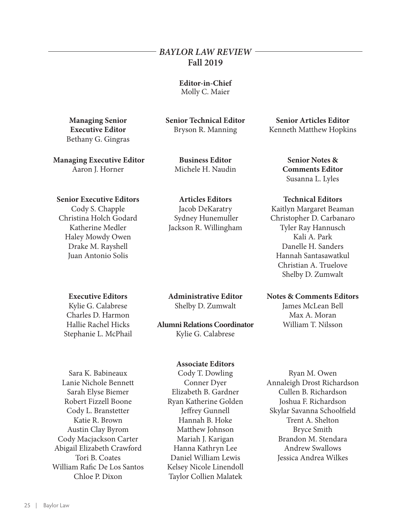# *BAYLOR LAW REVIEW* **Fall 2019**

#### **Editor-in-Chief** Molly C. Maier

# **Managing Senior Executive Editor** Bethany G. Gingras

**Senior Technical Editor** Bryson R. Manning

 **Managing Executive Editor** Aaron J. Horner

**Business Editor** Michele H. Naudin

**Articles Editors** Jacob DeKaratry Sydney Hunemuller Jackson R. Willingham

# **Senior Executive Editors**

Cody S. Chapple Christina Holch Godard Katherine Medler Haley Mowdy Owen Drake M. Rayshell Juan Antonio Solis

# **Executive Editors**

Kylie G. Calabrese Charles D. Harmon Hallie Rachel Hicks Stephanie L. McPhail **Administrative Editor** Shelby D. Zumwalt

**Alumni Relations Coordinator** Kylie G. Calabrese

#### **Associate Editors**

Sara K. Babineaux Lanie Nichole Bennett Sarah Elyse Biemer Robert Fizzell Boone Cody L. Branstetter Katie R. Brown Austin Clay Byrom Cody Macjackson Carter Abigail Elizabeth Crawford Tori B. Coates William Rafic De Los Santos Chloe P. Dixon

Cody T. Dowling Conner Dyer Elizabeth B. Gardner Ryan Katherine Golden Jeffrey Gunnell Hannah B. Hoke Matthew Johnson Mariah J. Karigan Hanna Kathryn Lee Daniel William Lewis Kelsey Nicole Linendoll Taylor Collien Malatek

**Senior Articles Editor** Kenneth Matthew Hopkins

> **Senior Notes & Comments Editor** Susanna L. Lyles

#### **Technical Editors**

Kaitlyn Margaret Beaman Christopher D. Carbanaro Tyler Ray Hannusch Kali A. Park Danelle H. Sanders Hannah Santasawatkul Christian A. Truelove Shelby D. Zumwalt

**Notes & Comments Editors**

James McLean Bell Max A. Moran William T. Nilsson

Ryan M. Owen Annaleigh Drost Richardson Cullen B. Richardson Joshua F. Richardson Skylar Savanna Schoolfield Trent A. Shelton Bryce Smith Brandon M. Stendara Andrew Swallows Jessica Andrea Wilkes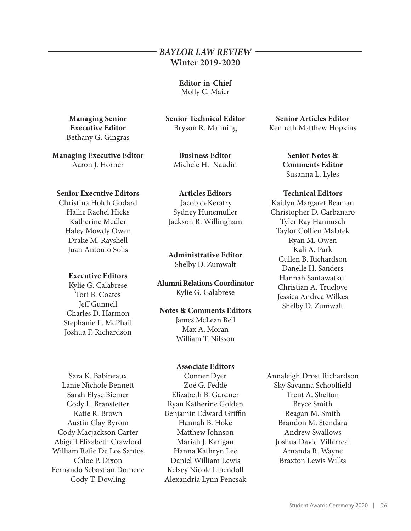# *BAYLOR LAW REVIEW* **Winter 2019-2020**

**Editor-in-Chief** Molly C. Maier

**Senior Technical Editor**

**Managing Senior Executive Editor** Bethany G. Gingras

Bryson R. Manning

**Managing Executive Editor** Aaron J. Horner

**Business Editor** Michele H. Naudin

#### **Senior Executive Editors**

Christina Holch Godard Hallie Rachel Hicks Katherine Medler Haley Mowdy Owen Drake M. Rayshell Juan Antonio Solis

#### **Executive Editors**

Kylie G. Calabrese Tori B. Coates Jeff Gunnell Charles D. Harmon Stephanie L. McPhail Joshua F. Richardson

Sara K. Babineaux Lanie Nichole Bennett Sarah Elyse Biemer Cody L. Branstetter Katie R. Brown Austin Clay Byrom Cody Macjackson Carter Abigail Elizabeth Crawford William Rafic De Los Santos Chloe P. Dixon Fernando Sebastian Domene Cody T. Dowling

**Articles Editors** Jacob deKeratry Sydney Hunemuller Jackson R. Willingham

**Administrative Editor** Shelby D. Zumwalt

**Alumni Relations Coordinator** Kylie G. Calabrese

# **Notes & Comments Editors** James McLean Bell Max A. Moran

William T. Nilsson

#### **Associate Editors**

Conner Dyer Zoë G. Fedde Elizabeth B. Gardner Ryan Katherine Golden Benjamin Edward Griffin Hannah B. Hoke Matthew Johnson Mariah J. Karigan Hanna Kathryn Lee Daniel William Lewis Kelsey Nicole Linendoll Alexandria Lynn Pencsak

**Senior Articles Editor** Kenneth Matthew Hopkins

> **Senior Notes & Comments Editor** Susanna L. Lyles

#### **Technical Editors**

Kaitlyn Margaret Beaman Christopher D. Carbanaro Tyler Ray Hannusch Taylor Collien Malatek Ryan M. Owen Kali A. Park Cullen B. Richardson Danelle H. Sanders Hannah Santawatkul Christian A. Truelove Jessica Andrea Wilkes Shelby D. Zumwalt

Annaleigh Drost Richardson Sky Savanna Schoolfield Trent A. Shelton Bryce Smith Reagan M. Smith Brandon M. Stendara Andrew Swallows Joshua David Villarreal Amanda R. Wayne Braxton Lewis Wilks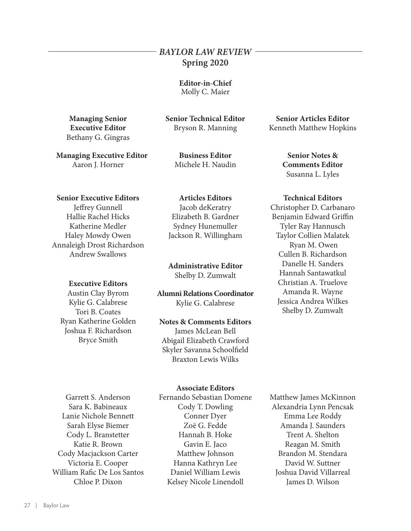# *BAYLOR LAW REVIEW* **Spring 2020**

## **Editor-in-Chief** Molly C. Maier

**Managing Senior Executive Editor** Bethany G. Gingras **Senior Technical Editor** Bryson R. Manning

**Managing Executive Editor** Aaron J. Horner

**Business Editor** Michele H. Naudin

**Senior Executive Editors**

Jeffrey Gunnell Hallie Rachel Hicks Katherine Medler Haley Mowdy Owen Annaleigh Drost Richardson Andrew Swallows

#### **Executive Editors**

Austin Clay Byrom Kylie G. Calabrese Tori B. Coates Ryan Katherine Golden Joshua F. Richardson Bryce Smith

**Articles Editors** Jacob deKeratry Elizabeth B. Gardner Sydney Hunemuller Jackson R. Willingham

**Administrative Editor** Shelby D. Zumwalt

**Alumni Relations Coordinator** Kylie G. Calabrese

# **Notes & Comments Editors** James McLean Bell Abigail Elizabeth Crawford Skyler Savanna Schoolfield

Braxton Lewis Wilks

**Associate Editors**

Garrett S. Anderson Sara K. Babineaux Lanie Nichole Bennett Sarah Elyse Biemer Cody L. Branstetter Katie R. Brown Cody Macjackson Carter Victoria E. Cooper William Rafic De Los Santos Chloe P. Dixon

Fernando Sebastian Domene Cody T. Dowling Conner Dyer Zoë G. Fedde Hannah B. Hoke Gavin E. Jaco Matthew Johnson Hanna Kathryn Lee Daniel William Lewis Kelsey Nicole Linendoll

**Senior Articles Editor** Kenneth Matthew Hopkins

> **Senior Notes & Comments Editor** Susanna L. Lyles

#### **Technical Editors**

Christopher D. Carbanaro Benjamin Edward Griffin Tyler Ray Hannusch Taylor Collien Malatek Ryan M. Owen Cullen B. Richardson Danelle H. Sanders Hannah Santawatkul Christian A. Truelove Amanda R. Wayne Jessica Andrea Wilkes Shelby D. Zumwalt

Matthew James McKinnon Alexandria Lynn Pencsak Emma Lee Roddy Amanda J. Saunders Trent A. Shelton Reagan M. Smith Brandon M. Stendara David W. Suttner Joshua David Villarreal James D. Wilson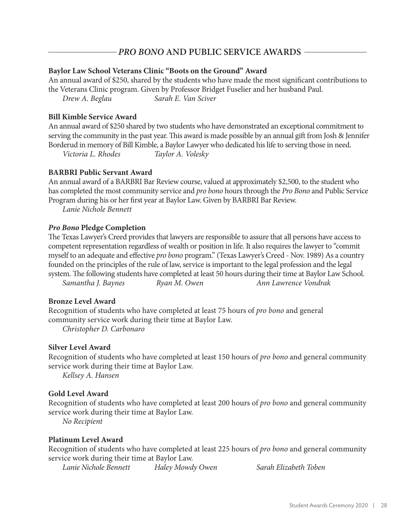# *PRO BONO* **AND PUBLIC SERVICE AWARDS**

#### **Baylor Law School Veterans Clinic "Boots on the Ground" Award**

An annual award of \$250, shared by the students who have made the most significant contributions to the Veterans Clinic program. Given by Professor Bridget Fuselier and her husband Paul. *Drew A. Beglau Sarah E. Van Sciver*

#### **Bill Kimble Service Award**

An annual award of \$250 shared by two students who have demonstrated an exceptional commitment to serving the community in the past year. This award is made possible by an annual gift from Josh & Jennifer Borderud in memory of Bill Kimble, a Baylor Lawyer who dedicated his life to serving those in need.

*Victoria L. Rhodes Taylor A. Volesky* 

#### **BARBRI Public Servant Award**

An annual award of a BARBRI Bar Review course, valued at approximately \$2,500, to the student who has completed the most community service and *pro bono* hours through the *Pro Bono* and Public Service Program during his or her first year at Baylor Law. Given by BARBRI Bar Review.

*Lanie Nichole Bennett*

#### *Pro Bono* **Pledge Completion**

The Texas Lawyer's Creed provides that lawyers are responsible to assure that all persons have access to competent representation regardless of wealth or position in life. It also requires the lawyer to "commit myself to an adequate and effective *pro bono* program." (Texas Lawyer's Creed - Nov. 1989) As a country founded on the principles of the rule of law, service is important to the legal profession and the legal system. The following students have completed at least 50 hours during their time at Baylor Law School.

*Samantha J. Baynes Ryan M. Owen Ann Lawrence Vondrak* 

#### **Bronze Level Award**

Recognition of students who have completed at least 75 hours of *pro bono* and general community service work during their time at Baylor Law.

*Christopher D. Carbonaro*

#### **Silver Level Award**

Recognition of students who have completed at least 150 hours of *pro bono* and general community service work during their time at Baylor Law.

*Kellsey A. Hansen*

#### **Gold Level Award**

Recognition of students who have completed at least 200 hours of *pro bono* and general community service work during their time at Baylor Law.

*No Recipient*

# **Platinum Level Award**

Recognition of students who have completed at least 225 hours of *pro bono* and general community service work during their time at Baylor Law.

*Lanie Nichole Bennett Haley Mowdy Owen Sarah Elizabeth Toben*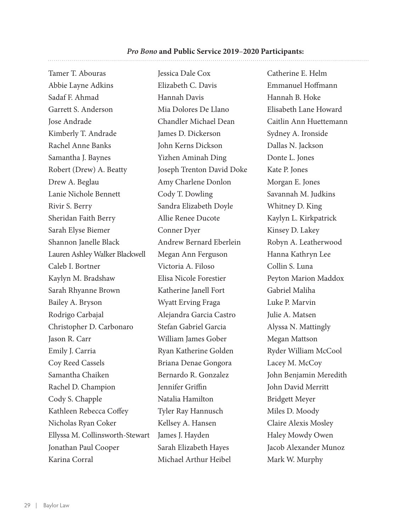Tamer T. Abouras Abbie Layne Adkins Sadaf F. Ahmad Garrett S. Anderson Jose Andrade Kimberly T. Andrade Rachel Anne Banks Samantha J. Baynes Robert (Drew) A. Beatty Drew A. Beglau Lanie Nichole Bennett Rivir S. Berry Sheridan Faith Berry Sarah Elyse Biemer Shannon Janelle Black Lauren Ashley Walker Blackwell Caleb I. Bortner Kaylyn M. Bradshaw Sarah Rhyanne Brown Bailey A. Bryson Rodrigo Carbajal Christopher D. Carbonaro Jason R. Carr Emily J. Carria Coy Reed Cassels Samantha Chaiken Rachel D. Champion Cody S. Chapple Kathleen Rebecca Coffey Nicholas Ryan Coker Ellyssa M. Collinsworth-Stewart Jonathan Paul Cooper Karina Corral

Jessica Dale Cox Elizabeth C. Davis Hannah Davis Mia Dolores De Llano Chandler Michael Dean James D. Dickerson John Kerns Dickson Yizhen Aminah Ding Joseph Trenton David Doke Amy Charlene Donlon Cody T. Dowling Sandra Elizabeth Doyle Allie Renee Ducote Conner Dyer Andrew Bernard Eberlein Megan Ann Ferguson Victoria A. Filoso Elisa Nicole Forestier Katherine Janell Fort Wyatt Erving Fraga Alejandra Garcia Castro Stefan Gabriel Garcia William James Gober Ryan Katherine Golden Briana Denae Gongora Bernardo R. Gonzalez Jennifer Griffin Natalia Hamilton Tyler Ray Hannusch Kellsey A. Hansen James J. Hayden Sarah Elizabeth Hayes Michael Arthur Heibel

Catherine E. Helm Emmanuel Hoffmann Hannah B. Hoke Elisabeth Lane Howard Caitlin Ann Huettemann Sydney A. Ironside Dallas N. Jackson Donte L. Jones Kate P. Jones Morgan E. Jones Savannah M. Judkins Whitney D. King Kaylyn L. Kirkpatrick Kinsey D. Lakey Robyn A. Leatherwood Hanna Kathryn Lee Collin S. Luna Peyton Marion Maddox Gabriel Maliha Luke P. Marvin Julie A. Matsen Alyssa N. Mattingly Megan Mattson Ryder William McCool Lacey M. McCoy John Benjamin Meredith John David Merritt Bridgett Meyer Miles D. Moody Claire Alexis Mosley Haley Mowdy Owen Jacob Alexander Munoz Mark W. Murphy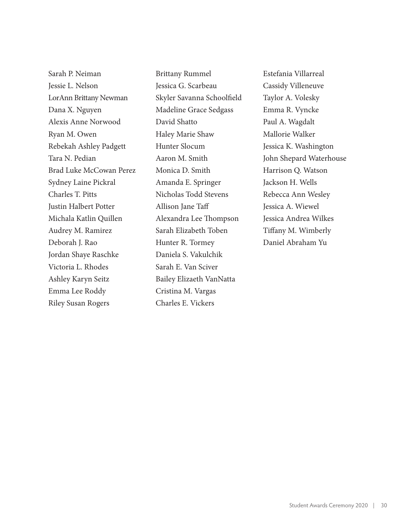Sarah P. Neiman Jessie L. Nelson LorAnn Brittany Newman Dana X. Nguyen Alexis Anne Norwood Ryan M. Owen Rebekah Ashley Padgett Tara N. Pedian Brad Luke McCowan Perez Sydney Laine Pickral Charles T. Pitts Justin Halbert Potter Michala Katlin Quillen Audrey M. Ramirez Deborah J. Rao Jordan Shaye Raschke Victoria L. Rhodes Ashley Karyn Seitz Emma Lee Roddy Riley Susan Rogers

Brittany Rummel Jessica G. Scarbeau Skyler Savanna Schoolfield Madeline Grace Sedgass David Shatto Haley Marie Shaw Hunter Slocum Aaron M. Smith Monica D. Smith Amanda E. Springer Nicholas Todd Stevens Allison Jane Taff Alexandra Lee Thompson Sarah Elizabeth Toben Hunter R. Tormey Daniela S. Vakulchik Sarah E. Van Sciver Bailey Elizaeth VanNatta Cristina M. Vargas Charles E. Vickers

Estefania Villarreal Cassidy Villeneuve Taylor A. Volesky Emma R. Vyncke Paul A. Wagdalt Mallorie Walker Jessica K. Washington John Shepard Waterhouse Harrison Q. Watson Jackson H. Wells Rebecca Ann Wesley Jessica A. Wiewel Jessica Andrea Wilkes Tiffany M. Wimberly Daniel Abraham Yu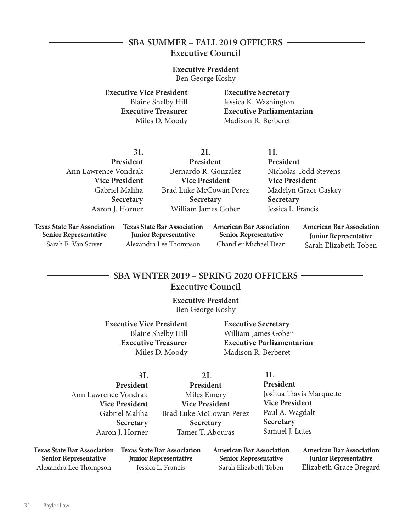# **SBA SUMMER – FALL 2019 OFFICERS Executive Council**

**Executive President** Ben George Koshy

**Executive Vice President** Blaine Shelby Hill **Executive Treasurer** Miles D. Moody

**Executive Secretary** Jessica K. Washington **Executive Parliamentarian** Madison R. Berberet

**3L President**  Ann Lawrence Vondrak **Vice President** Gabriel Maliha **Secretary**  Aaron J. Horner

**2L President**  Bernardo R. Gonzalez **Vice President**  Brad Luke McCowan Perez **Secretary**  William James Gober

**1L President** Nicholas Todd Stevens **Vice President** Madelyn Grace Caskey **Secretary** Jessica L. Francis

**Texas State Bar Association Senior Representative** Sarah E. Van Sciver

**Texas State Bar Association Junior Representative** Alexandra Lee Thompson

**American Bar Association Senior Representative** Chandler Michael Dean

**American Bar Association Junior Representative** Sarah Elizabeth Toben

# **SBA WINTER 2019 – SPRING 2020 OFFICERS Executive Council**

**Executive President** Ben George Koshy

**Executive Vice President** Blaine Shelby Hill **Executive Treasurer** Miles D. Moody **Executive Secretary** William James Gober **Executive Parliamentarian** Madison R. Berberet

**3L**

**President**  Ann Lawrence Vondrak **Vice President**  Gabriel Maliha **Secretary**  Aaron J. Horner

**President**  Miles Emery **Vice President**  Brad Luke McCowan Perez **Secretary**  Tamer T. Abouras

**2L**

**1L President**  Joshua Travis Marquette **Vice President**  Paul A. Wagdalt **Secretary**  Samuel J. Lutes

| <b>Texas State Bar Association</b> | <b>Texas State Bar Association</b> | <b>American Bar Association</b> | <b>American Bar Association</b> |
|------------------------------------|------------------------------------|---------------------------------|---------------------------------|
| <b>Senior Representative</b>       | <b>Junior Representative</b>       | <b>Senior Representative</b>    | <b>Junior Representative</b>    |
| Alexandra Lee Thompson             | Jessica L. Francis                 | Sarah Elizabeth Toben           | Elizabeth Grace Bregard         |